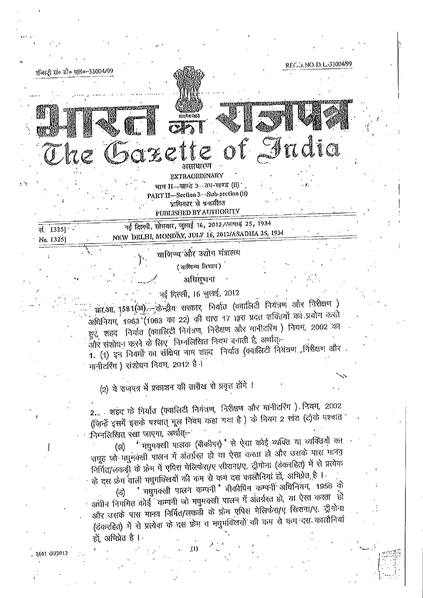REC.J. NO.D. L. 33004/9 रजिस्ट्री सं० डी० एल०-33004/99 <u>hiez (zeelne)</u> सत्पोष नेप्रते dia असाधारण **EXTRAORDINARY** भाग II-खण्ड 3-अप-खण्ड (li) PART II-Section 3-Sub-section (ii) प्राधिकार से प्रकारिति PUBLISHED BY AUTHORITY नई दिल्ली, सोमवार, जुलाई 16, 2012/आषाइं 25, 1934 सं. 1325] · NEW DELHI, MONDAY, JULY 16, 2012/ASADHA 25, 1934 No. 1325] वाणिज्य और उद्योग मंत्रालय (साणिन्य विभाग)

आधिसूचना

नई दिल्ली, 16 जुलाई, 2012 का.आ. १५८१(अ) - केन्द्रीय सरकार, निर्यात (क्वालिटी नियंत्रण और निरीक्षण ) अधिनियम, 1963 (1963 का 22) की धारा 17 द्वारा प्रदत्त शक्तियों का प्रयोग करते हुएं, शहद निर्यात (क्वालिटी नियंत्रण, निरीक्षण और मानीटरिंग) नियम, 2002 का .<br>और संशोधन करने के लिए जिम्नलिखित नियम बनाती है, अर्थात्--1. (1) इन नियमों का संक्षिप्त नाम शहद निर्यात (क्वालिटी नियंत्रण ,निरीक्षण और मानीटरिंग) संशोधन नियम, 2012 है।

(2) ये राजपत्र में प्रकाशन की तारीख से प्रवृत्त होंगे ।

2601 GW2012

2... शहंद के निर्यात (क्वालिटी नियंत्रण, निरीक्षण और मानीटरिंग) नियम, 2002 (जिन्हें इसमें इसके पश्चात् मूल नियम कहा गया है) के नियम 2 खंड (ट)के पश्चात निम्नलिखित रखा जाएगा, अर्थात्-

मधुमक्खी पालक (बीकीपर) से ऐसा कोई व्यक्ति या व्यक्तियों का (झ) समूह जो मधुमक्खी पालन में अंतर्ग्रस्त हो या ऐसा करता हो और उसके पास मानव निर्मित/लकड़ी के फ्रेम में एपिस मेलिफेरा/ए सीराना/ए. ट्रीगोना (डंकरहित) में से प्रत्येक के दस फ्रेम वाली मधुमक्खियों की कम से कम दस कालौनियां हों, अभिप्रेत हैं । "मधुमक्खी पालन कम्पनी 'बीकीपिंग कम्पनी अधिनियम, 1956 के (ভ) अधीन निगमित कोई कम्पनी जो मधुमक्खी पालन में अंतर्ग्रस्त हो, या ऐसा करता हो और उसके पास मानव निर्मित/लकड़ी के फ्रेम एपिस मेलिफेरा/ए सिराना/ए. ट्रीगोना (डंकरहित) में से प्रत्येक के दस फ्रेम व मधुमक्खियों की कम से कम दस कालौनियां हों. अभिप्रेत है ।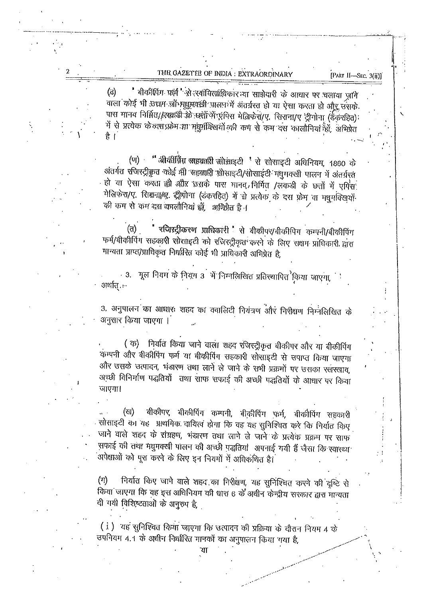THE GAZETTE OF INDIA : EXTRAORDINARY

[PART II-SEC. 3(ii)]

ँ बीकीपिंग फर्म "से स्वांमित्सांधिकार या साझेदारी के आधार पर चलाया ज़ाने (ढ) वाला कोई भी उच्चम जो मधुमकारी पालन में अंतर्ग्रस्त हो या ऐसा करता हो और उसके. पास मानव निर्मित//अकड़ी के छत्तों में प्रयिस में बिर्फ़रा/ए. सिराना/ए ट्रीगोना (उक्तरहित) में से प्रत्येक के वस प्रोम मा मधुमंत्रिखयों की कम से कम दस कालौनियां हैं। अभिप्रेत है ।

(ण) " बीकीप्रिंग स्तहवारी स्सेसाइटी ' से सोसाइटी अधिनियम, 1860 के अंतर्गत रजिस्ट्रीक्रृत कोई गी सह़क्कारी सोसाइटी/सोसाईटी मधुमक्खी पालन में अंतर्ग्रस्त हो या ऐसा करता ही और उसके पास मानव, निर्मित /लकडी के छत्तों में एपिस मेलिफेरा/ए. सिक्षना/ए. ईंग्लोना (डंकरहित) में स्रे प्रत्येक के दस फ़्रेम वा मधुमक्खियों की कम से कम दस कालौनियां हों, अभिप्रेत है ।

चजिन्नद्रीकरण प्राधिकारी 'से बीकीपर/बीकीपिग कम्पनी/बीकीपिंग (त) फर्म/बीकीपिंग सहकारी सोसाइटी को रजिस्ट्रीकृत करने के लिए सक्षम प्राधिकारी द्वारा मान्यता प्राप्त/प्राधिकृत निर्धारित कोई भी प्राधिकारी अभिप्रेत है,

3. मूल नियम के नियम 3 भें निम्नलिखित प्रतिस्थापित किया जाएगा, अर्थात. --

3. अनुपालन का आधारः शहद का क्वालिटी नियंत्रण और निरीक्षण निम्नलिखित के अनुसार किया जाएगा ।

(क) निर्यात किया जाने वाला शहद रजिस्ट्रीकृत बीकीपर और या बीकीपिंग कम्पनी और बीकीपिंग फर्म या बीकीपिंग सहकारी सोसाइटी से उपाप्त किया जाएगा और उसके उत्पादन, भंडारण तथा लाने ले जाने के सभी प्रक्रमों पर उसका रखरखाव, अच्छी विनिर्माण पद्धतियों तथा साफ सफाई की अच्छी पद्धतियों के आधार पर किया जाएगा।

बीकीपर, बीकीपिंग कम्पनी, बीकीपिंग फर्म, बीकीपिंग सहकारी (ख) सोसाइटी का यह प्राथमिक दायित्व होगा कि वह यह सुनिश्चित करे कि निर्यात किए जाने वाले शहद के संग्रहण, भंडारण तथा लाने ले जाने के प्रत्येक प्रक्रम पर साफ सफाई की तथा मधुमक्खी पालन की अच्छी पद्धतियां अपनाई गयी हैं जैसा कि स्वास्थ्य अपेक्षाओं को पूरा करने के लिए इन नियमों में अधिकथित है।

निर्यात किए जाने वाले शहद का निरीक्षण, यह सुनिश्चित करने की दृष्टि से  $(n)$ किया जाएगा कि वह इस अधिनियम की धारा 6 के अधीन केन्द्रीय सरकार द्वारा मान्यता दी गयी विशिष्टताओं के अनुरुप है,

(i) यह सुनिश्चित किया जाएगा कि उत्पादन की प्रक्रिया के दौरान नियम 4 के उपनियम 4.1 के अधीन निर्मारित मानकों का अनुपालन किया गया है,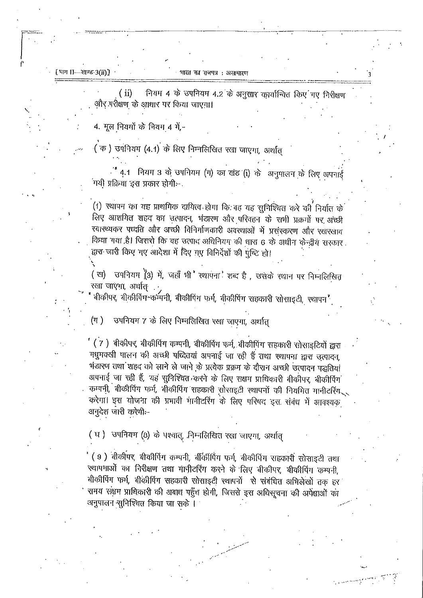[भाग । 1-खण्ड-3(ii)]

नियम 4 के उपनियम 4.2 के अनुसार कार्यान्वित किए गए निरीक्षण  $(i)$ और परीक्षण के आधार पर किया जाएगा।

4. मूल नियमों के नियम 4 में,-

( क) उपनियम (4.1) के लिए निम्नलिखित रखा जाएगा, अर्थात

- " 4.1 मियम 3 के उपनियम (ग) का खंड (i) के अनुपालन के लिए अपनाई . सथी प्रक्रिया इस प्रकार होगी:−

(1) स्थापन का यह प्राथमिक दायित्व होगा कि वह यह सुनिश्चित करे की निर्यात के लिए आशयित शहद का उत्पादन, भंडारण और परिवहन के सभी प्रक्रमों पर अच्छी स्वास्थ्यकर पध्दति और अच्छी विनिर्माणकारी अवस्थाओं में प्रसंस्करण और रखरखाव किया गया है। जिससे कि वह उत्पाद अधिनियम की धारा 6 के अधीन केन्द्रीय सरकार द्वारा जारी किए गए आदेशा में दिए गए विनिर्देशों की पुष्टि हो।

(ख) उपनियम (3) में, जहाँ भी रथापना शब्द है, उसके स्थान पर निम्नलिखित रखा जाएगा, अर्थात

बीकीपर, बीकीपिंग कम्पनी, बीकीपिंग फर्म, बीकीपिंग सहकारी सोसाइटी, स्थापन<sup>"</sup>

उपनियम 7 के लिए निम्नलिखित रखा जाएगा, अर्थात्  $(\pi)$ 

' ( 7 ) बीकीपर, बीकीपिंग कम्पनी, बीकीपिंग फर्म, बीकीपिंग सहकारी सोसाइटियों द्वारा मधुमक्खी पालन की अच्छी पध्दितयां अपनाई जा रही हैं तथा स्थापना द्वारा उत्पादन, भंडारण तथा शहद को लाने ले जाने के प्रत्येक प्रक्रम के दौरान अच्छी उत्पादन पद्धतियां अपनाई जा रही हैं, यह सुनिश्चित करने के लिए सक्षम प्राधिकारी बीकीपर, बीकीर्पिंग कम्पनी, बीकीपिंग फर्म, बीकीपिंग सहकारी सोसाइटी स्थापनों की नियमित मानीटरिंग करेगा। इस योजना की प्रभावी मानीटरिंग के लिए परिषद इस संबंध में आवश्यक अनुदेश जारी करेगी:-

(घ) उपनियम (8) के पश्चात्, निम्नलिखित रखा जाएगा, अर्थात्

(9) बीकीपर, बीकीपिंग कम्पनी, बींकीपिंग फर्म, बीकीपिंग सहकारी सोसाइटी तथा स्थापमाओं का निरीक्षण तथा मानीटरिंग करने के लिए बीकीपर, बीकीपिंग कम्पनी, बीकीपिंग फर्म, बीकीपिंग सहकारी सोसाइटी स्थापनों से संबंधित अभिलेखों तक हर समय संक्षम प्राधिकारी की अबाध पहुँच होगी, जिससे इस अधिसूचना की अपेक्षाओं का अनुपालन सुनिश्चित किया जा सके ।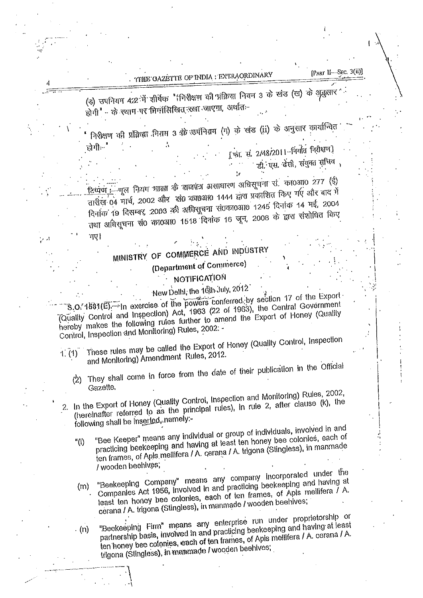TTHE GAZETTE OF INDIA : EXTRAORDINARY

4

गए।

(इ) उपनियम 4:2 में शीर्षक "(मिरीक्षण की प्रक्रिया नियम 3 के खंड (ख) के अनुसार होगी" - के स्थान पर मिलंलिखित रखा जाएगा, अर्थात-

निरीक्षण की प्रक्रिया नियम 3 को उपनियम (ग) के खंड (ii) के अनुसार कार्यान्वित

[फा. सं. 2/48/2011-निर्यात निरीक्षण] डी. एस. ढेंसी, संयुक्त सचिव

हिष्पूर्ण :- गूल नियम भारत के सम्बम्न असाधारण अधिसूचना सं. का0आ0 277 (ई) तारीख 04 मार्च, 2002 और खं0 का0आ0 1444 द्वारा प्रकाशित किए गए और बाद में दिनांक 19 दिसम्बर, 2003 की अधिसूचना सं0का0आ0 1245 दिनांक 14 मई, 2004 तथा अधिसूचना सं0 का0आ0 1518 दिनांक 16 जून, 2008 के द्वारा संशोधित किए

## MINISTRY OF COMMERCE AND INDUSTRY (Department of Commerce)

## NOTIFICATION

New Delhi, the 16th July, 2012

 $\mathcal{B}$ , O. 1881( $\mathcal{E}$ ). In exercise of the powers conferred by section 17 of the Export (Quality Control and Inspection) Act, 1963 (22 of 1963), the Central Government hereby makes the following rules further to amend the Export of Honey (Quality Control, Inspection and Monitoring) Rules, 2002: -

- These rules may be called the Export of Honey (Quality Control, Inspection and Monitoring) Amendment Rules, 2012.  $1. (1)$ 
	- They shall come in force from the date of their publication in the Official  $(2)$ Gazette.
- In the Export of Honey (Quality Control, Inspection and Monitoring) Rules, 2002, (hereinafter referred to as the principal rules), in rule 2, after clause (k), the 2. following shall be inserted, namely:-
	- "Bee Keeper" means any individual or group of individuals, involved in and practicing beekeeping and having at least ten honey bee colonies, each of  $^{\prime\prime}$ (i) ten frames, of Apis mellifera / A. cerana / A. trigona (Stingless), in manmade / wooden beenives;
	- "Beekeeping Company" means any company incorporated under the Companies Act 1956, involved in and practicing beekeeping and having at  $(m)$ least ten honey bee colonies, each of ten frames, of Apis mellifera  $\tilde{l}$  A. cerana / A. trigona (Stingless), in manmade / wooden beehives;
	- "Beekeeping Firm" means any enterprise run under proprietorship or partnership basis, involved in and practicing beekeeping and having at least . (n) ten honey bee colonies, each of ten frames, of Apis meilifera / A. cerana / A. trigona (Stingless), in manmade i wooden beehives;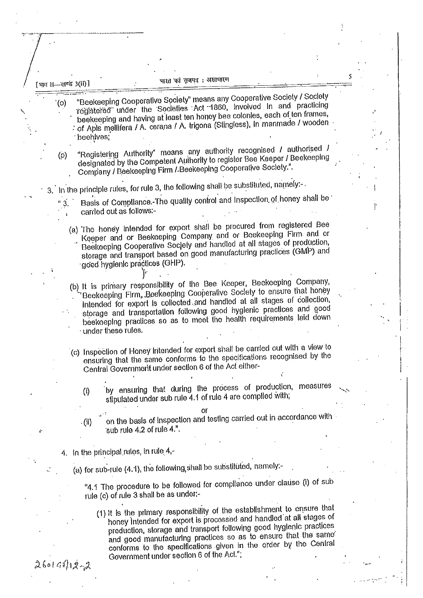भारत का राजपत्र : असाधारण

"Beekeeping Cooperative Society" means any Cooperative Society / Society registered under the Societies Act 1860, involved in and practicing beekeeping and having at least ten honey bee colonies, each of ten frames, of Apis mellifera / A. cerana / A. trigona (Stingless), in manmade / wooden beehives:

"Registering Authority" means any authority recognised / authorised / designated by the Competent Authority to register Bee Keeper / Beekeeping  $(\rho)$ Company / Beekeeping Firm / Beekeeping Cooperative Society.".

3. In the principle rules, for rule 3, the following shall be substituted, namely:-.

Basis of Compilance. The quality control and Inspection of honey shall be carried out as follows:-

(a) The honey intended for export shall be procured from registered Bee Keeper and or Beekeeping Company and or Beekeeping Firm and or Beekeeping Cooperative Society and handled at all stages of production, storage and transport based on good manufacturing practices (GMP) and good hygienic practices (GHP).

(b) It is primary responsibility of the Bee Keeper, Beekeeping Company, Beekeeping Firm, Beekeeping Cooperative Society to ensure that honey intended for export is collected and handled at all stages of collection, storage and transportation following good hygienic practices and good beekeeping practices so as to meet the health requirements laid down under these rules.

- (c) Inspection of Honey Intended for export shall be carried out with a view to ensuring that the same conforms to the specifications recognised by the Central Government under section 6 of the Act either
	- by ensuring that during the process of production, measures  $(i)$ stipulated under sub rule 4.1 of rule 4 are complied with;

on the basis of inspection and testing carried out in accordance with  $(ii)$ sub rule  $4:2$  of rule  $4."$ .

4. In the principal rules, in rule 4,-

(a) for sub-rule (4.1), the following shall be substituted, namely:-

"4.1 The procedure to be followed for compliance under clause (i) of sub rule (c) of rule 3 shall be as under:-

(1) It is the primary responsibility of the establishment to ensure that honey intended for export is processed and handled at all stages of production, storage and transport following good hygienic practices and good manufacturing practices so as to ensure that the same conforms to the specifications given in the order by the Central Government under section 6 of the Act.";

 $26014912 - 2$ 

[भाग 11-खण्ड 3(ii)]

 $(0)$